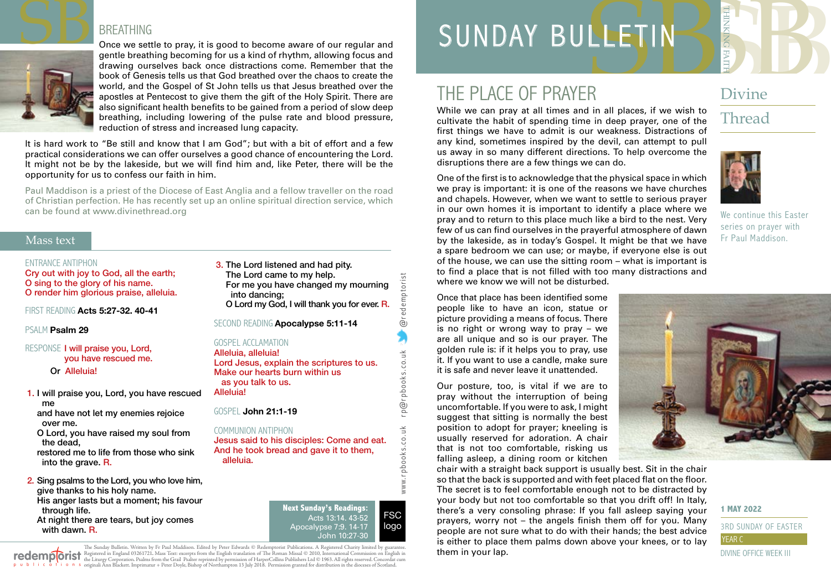

#### BREATHING

Once we settle to pray, it is good to become aware of our regular and gentle breathing becoming for us a kind of rhythm, allowing focus and drawing ourselves back once distractions come. Remember that the book of Genesis tells us that God breathed over the chaos to create the world, and the Gospel of St John tells us that Jesus breathed over the apostles at Pentecost to give them the gift of the Holy Spirit. There are also significant health benefits to be gained from a period of slow deep breathing, including lowering of the pulse rate and blood pressure, reduction of stress and increased lung capacity.

It is hard work to "Be still and know that I am God"; but with a bit of effort and a few practical considerations we can offer ourselves a good chance of encountering the Lord. It might not be by the lakeside, but we will find him and, like Peter, there will be the opportunity for us to confess our faith in him.

Paul Maddison is a priest of the Diocese of East Anglia and a fellow traveller on the road of Christian perfection. He has recently set up an online spiritual direction service, which can be found at [www.divinethread.org](http://www.divinethread.org)

#### Mass text

#### ENTRANCE ANTIPHON

Cry out with joy to God, all the earth; O sing to the glory of his name. O render him glorious praise, alleluia.

FIRST READING **Acts 5:27-32. 40-41** 

#### PSALM **Psalm 29**

RESPONSE I will praise you, Lord, you have rescued me. Or Alleluia!

1. I will praise you, Lord, you have rescued me and have not let my enemies rejoice

over me.

O Lord, you have raised my soul from the dead,

restored me to life from those who sink into the grave. R.

2. Sing psalms to the Lord, you who love him, give thanks to his holy name. His anger lasts but a moment; his favour through life. At night there are tears, but joy comes with dawn. R.

3. The Lord listened and had pity. The Lord came to my help. For me you have changed my mourning into dancing; O Lord my God, I will thank you for ever. R.

SECOND READING **Apocalypse 5:11-14**

#### GOSPEL ACCLAMATION

Alleluia, alleluia! Lord Jesus, explain the scriptures to us. Make our hearts burn within us as you talk to us. Alleluia!

GOSPEL **John 21:1-19**

COMMUNION ANTIPHON Jesus said to his disciples: Come and eat. And he took bread and gave it to them, alleluia.

> Acts 13:14. 43-52 Apocalypse 7:9. 14-17 ..<br>John 10:27-30

www.r pbooks.co.uk r p@r pbooks.co.uk @redemptorist

ĕ  $\leq$ 

www.rpbooks.co.

@rpbooks.co.uk

@redemptorist

FSC logo

The Sunday Bulletin. Written by Fr Paul Maddison. Edited by Peter Edwards © Redemptorist Publications. A Registered Charity limited by redemploist Registered in England 03261721. Mass Text: excerpts from the English translation of The Roman Missal © 2010, International Commission on English in<br>p = b + i = a + i = o n = originali Ann Blackett. Imprimatur

SERIES SERIES SUPERIORS SUNDAY BULLETIN

## THE PLACE OF PRAYER

While we can pray at all times and in all places, if we wish to cultivate the habit of spending time in deep prayer, one of the first things we have to admit is our weakness. Distractions of any kind, sometimes inspired by the devil, can attempt to pull us away in so many different directions. To help overcome the disruptions there are a few things we can do.

One of the first is to acknowledge that the physical space in which

Divine

## **Thread**



We continue this Easter series on prayer with Fr Paul Maddison. we pray is important: it is one of the reasons we have churches and chapels. However, when we want to settle to serious prayer in our own homes it is important to identify a place where we pray and to return to this place much like a bird to the nest. Very few of us can find ourselves in the prayerful atmosphere of dawn by the lakeside, as in today's Gospel. It might be that we have a spare bedroom we can use; or maybe, if everyone else is out of the house, we can use the sitting room – what is important is to find a place that is not filled with too many distractions and

Once that place has been identified some people like to have an icon, statue or picture providing a means of focus. There is no right or wrong way to pray – we are all unique and so is our prayer. The golden rule is: if it helps you to pray, use it. If you want to use a candle, make sure it is safe and never leave it unattended.

where we know we will not be disturbed.

Our posture, too, is vital if we are to pray without the interruption of being uncomfortable. If you were to ask, I might suggest that sitting is normally the best position to adopt for prayer; kneeling is usually reserved for adoration. A chair that is not too comfortable, risking us falling asleep, a dining room or kitchen





**1 MAY 2022**

#### 3RD SUNDAY OF EASTER YEAR C DIVINE OFFICE WEEK III

## **Next Sunday's Readings:**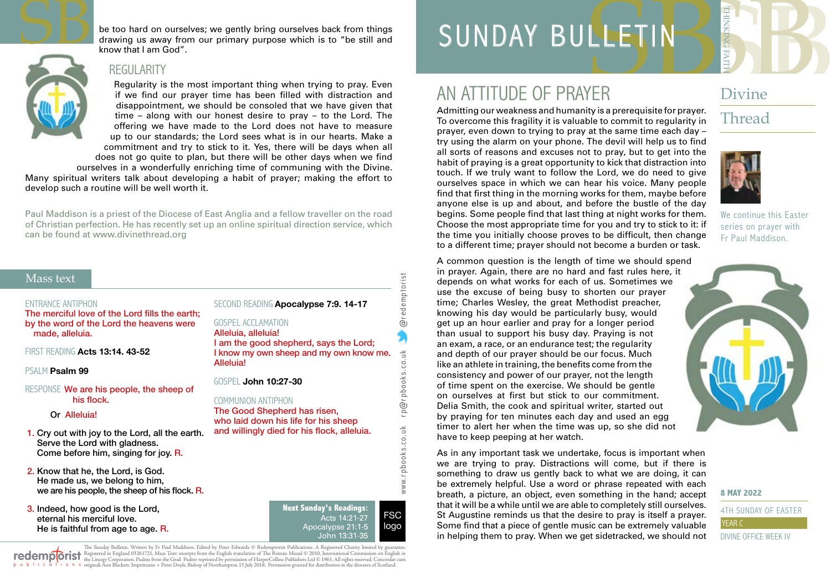

be too hard on ourselves; we gently bring ourselves back from things drawing us away from our primary purpose which is to "be still and know that I am God".



#### **REGULARITY**

Regularity is the most important thing when trying to pray. Even if we find our prayer time has been filled with distraction and disappointment, we should be consoled that we have given that time – along with our honest desire to pray – to the Lord. The offering we have made to the Lord does not have to measure up to our standards; the Lord sees what is in our hearts. Make a commitment and try to stick to it. Yes, there will be days when all does not go quite to plan, but there will be other days when we find

ourselves in a wonderfully enriching time of communing with the Divine. Many spiritual writers talk about developing a habit of prayer; making the effort to develop such a routine will be well worth it.

Paul Maddison is a priest of the Diocese of East Anglia and a fellow traveller on the road of Christian perfection. He has recently set up an online spiritual direction service, which can be found at [www.divinethread.org](http://www.divinethread.org)

#### Mass text

#### ENTRANCE ANTIPHON

The merciful love of the Lord fills the earth; by the word of the Lord the heavens were made, alleluia.

FIRST READING **Acts 13:14. 43-52**

PSALM **Psalm 99**

#### RESPONSE We are his people, the sheep of his flock.

Or Alleluia!

- 1. Cry out with joy to the Lord, all the earth. Serve the Lord with gladness. Come before him, singing for joy. R.
- 2. Know that he, the Lord, is God. He made us, we belong to him, we are his people, the sheep of his flock. R.
- 3. Indeed, how good is the Lord, eternal his merciful love. He is faithful from age to age. R.

SECOND READING **Apocalypse 7:9. 14-17**

GOSPEL ACCLAMATION Alleluia, alleluia! I am the good shepherd, says the Lord; I know my own sheep and my own know me. Alleluia!

GOSPEL **John 10:27-30**

#### COMMUNION ANTIPHON

The Good Shepherd has risen, who laid down his life for his sheep and willingly died for his flock, alleluia.

> **Next Sunday's Readings:** Acts 14:21-27 Apocalypse 21:1-5 John 13:31-35

www.r pbooks.co.uk r p@r pbooks.co.uk @redemptorist

rp@rpbooks.co.uk

www.rpbooks.co.uk

@redemptorist

**FSC** logo

The Sunday Bulletin. Written by Fr Paul Maddison. Edited by Peter Edwards © Redemptorist Publications. A Registered Charity limited by redemploist Registered in England 03261721. Mass Text: excerpts from the English translation of The Roman Missal © 2010, International Commission on English in<br>p = b + i = a + i = o n = originali Ann Blackett. Imprimatur

# SER Divine SUNDAY BULLETIN

## AN ATTITUDE OF PRAYER

Admitting our weakness and humanity is a prerequisite for prayer. To overcome this fragility it is valuable to commit to regularity in prayer, even down to trying to pray at the same time each day – try using the alarm on your phone. The devil will help us to find all sorts of reasons and excuses not to pray, but to get into the habit of praying is a great opportunity to kick that distraction into touch. If we truly want to follow the Lord, we do need to give ourselves space in which we can hear his voice. Many people find that first thing in the morning works for them, maybe before anyone else is up and about, and before the bustle of the day begins. Some people find that last thing at night works for them. Choose the most appropriate time for you and try to stick to it: if the time you initially choose proves to be difficult, then change to a different time; prayer should not become a burden or task.

Divine

## Thread



We continue this Easter series on prayer with Fr Paul Maddison.

A common question is the length of time we should spend in prayer. Again, there are no hard and fast rules here, it depends on what works for each of us. Sometimes we use the excuse of being busy to shorten our prayer time; Charles Wesley, the great Methodist preacher, knowing his day would be particularly busy, would get up an hour earlier and pray for a longer period than usual to support his busy day. Praying is not an exam, a race, or an endurance test; the regularity and depth of our prayer should be our focus. Much like an athlete in training, the benefits come from the consistency and power of our prayer, not the length of time spent on the exercise. We should be gentle on ourselves at first but stick to our commitment. Delia Smith, the cook and spiritual writer, started out by praying for ten minutes each day and used an egg timer to alert her when the time was up, so she did not have to keep peeping at her watch.

As in any important task we undertake, focus is important when we are trying to pray. Distractions will come, but if there is something to draw us gently back to what we are doing, it can be extremely helpful. Use a word or phrase repeated with each breath, a picture, an object, even something in the hand; accept that it will be a while until we are able to completely still ourselves. St Augustine reminds us that the desire to pray is itself a prayer. Some find that a piece of gentle music can be extremely valuable in helping them to pray. When we get sidetracked, we should not



#### **8 MAY 2022**

4TH SUNDAY OF FASTE YEAR C

DIVINE OFFICE WEEK IV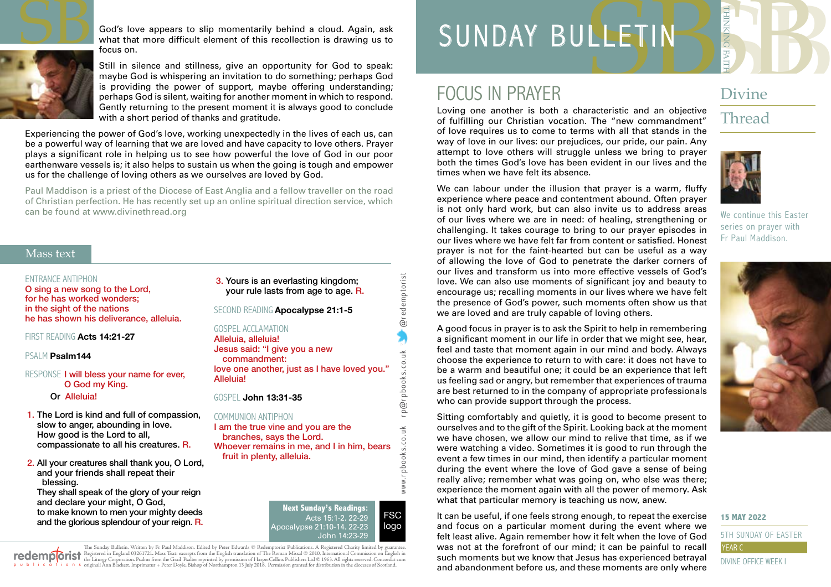

God's love appears to slip momentarily behind a cloud. Again, ask what that more difficult element of this recollection is drawing us to focus on.

Still in silence and stillness, give an opportunity for God to speak: maybe God is whispering an invitation to do something; perhaps God is providing the power of support, maybe offering understanding; perhaps God is silent, waiting for another moment in which to respond. Gently returning to the present moment it is always good to conclude with a short period of thanks and gratitude.

Experiencing the power of God's love, working unexpectedly in the lives of each us, can be a powerful way of learning that we are loved and have capacity to love others. Prayer plays a significant role in helping us to see how powerful the love of God in our poor earthenware vessels is; it also helps to sustain us when the going is tough and empower us for the challenge of loving others as we ourselves are loved by God.

Paul Maddison is a priest of the Diocese of East Anglia and a fellow traveller on the road of Christian perfection. He has recently set up an online spiritual direction service, which can be found at [www.divinethread.org](http://www.divinethread.org)

#### Mass text

#### ENTRANCE ANTIPHON

O sing a new song to the Lord, for he has worked wonders; in the sight of the nations he has shown his deliverance, alleluia.

FIRST READING **Acts 14:21-27**

PSALM **Psalm144**

RESPONSE I will bless your name for ever, O God my King.

Or Alleluia!

- 1. The Lord is kind and full of compassion, slow to anger, abounding in love. How good is the Lord to all, compassionate to all his creatures. R.
- 2. All your creatures shall thank you, O Lord, and your friends shall repeat their blessing.

They shall speak of the glory of your reign and declare your might, O God, to make known to men your mighty deeds and the glorious splendour of your reign. R.

3. Yours is an everlasting kingdom; your rule lasts from age to age. R.

SECOND READING **Apocalypse 21:1-5**

#### GOSPEL ACCLAMATION

Alleluia, alleluia! Jesus said: "I give you a new commandment: love one another, just as I have loved you." Alleluia!

GOSPEL **John 13:31-35**

#### COMMUNION ANTIPHON

I am the true vine and you are the branches, says the Lord. Whoever remains in me, and I in him, bears fruit in plenty, alleluia.

> **Next Sunday's Readings:** Acts 15:1-2. 22-29 Apocalypse 21:10-14. 22-23 John 14:23-29

www.r pbooks.co.uk r p@r pbooks.co.uk @redemptorist

흔  $\frac{1}{2}$ 

www.rpbooks.co.

@rpbooks.co.uk

@redemptorist

FSC logo

The Sunday Bulletin. Written by Fr Paul Maddison. Edited by Peter Edwards © Redemptorist Publications. A Registered Charity limited by guarantee. redemploist Registered in England 03261721. Mass Text: excerpts from the English translation of The Roman Missal © 2010, International Commission on English in<br>p = b + i = a + i = o n = originali Ann Blackett. Imprimatur

# SERVE SERVE THE SUBSIDIAN SUNDAY BULLETIN

## FOCUS IN PRAYER

Loving one another is both a characteristic and an objective of fulfilling our Christian vocation. The "new commandment" of love requires us to come to terms with all that stands in the way of love in our lives: our prejudices, our pride, our pain. Any attempt to love others will struggle unless we bring to prayer both the times God's love has been evident in our lives and the times when we have felt its absence.

We can labour under the illusion that prayer is a warm, fluffy experience where peace and contentment abound. Often prayer

### Divine

### Thread



We continue this Easter series on prayer with Fr Paul Maddison.



is not only hard work, but can also invite us to address areas of our lives where we are in need: of healing, strengthening or challenging. It takes courage to bring to our prayer episodes in our lives where we have felt far from content or satisfied. Honest prayer is not for the faint-hearted but can be useful as a way of allowing the love of God to penetrate the darker corners of our lives and transform us into more effective vessels of God's love. We can also use moments of significant joy and beauty to encourage us; recalling moments in our lives where we have felt the presence of God's power, such moments often show us that we are loved and are truly capable of loving others.

A good focus in prayer is to ask the Spirit to help in remembering a significant moment in our life in order that we might see, hear, feel and taste that moment again in our mind and body. Always choose the experience to return to with care: it does not have to be a warm and beautiful one; it could be an experience that left us feeling sad or angry, but remember that experiences of trauma are best returned to in the company of appropriate professionals who can provide support through the process.

Sitting comfortably and quietly, it is good to become present to ourselves and to the gift of the Spirit. Looking back at the moment we have chosen, we allow our mind to relive that time, as if we were watching a video. Sometimes it is good to run through the event a few times in our mind, then identify a particular moment during the event where the love of God gave a sense of being really alive; remember what was going on, who else was there; experience the moment again with all the power of memory. Ask what that particular memory is teaching us now, anew.

#### **15 MAY 2022**

It can be useful, if one feels strong enough, to repeat the exercise and focus on a particular moment during the event where we felt least alive. Again remember how it felt when the love of God was not at the forefront of our mind; it can be painful to recall such moments but we know that Jesus has experienced betrayal and abandonment before us, and these moments are only where 5TH SUNDAY OF EASTER YEAR C DIVINE OFFICE WEEK I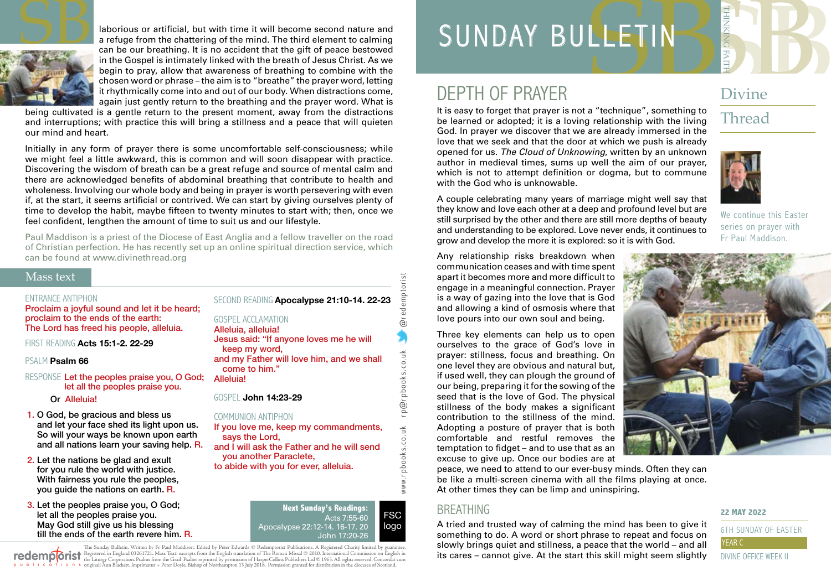

laborious or artificial, but with time it will become second nature and a refuge from the chattering of the mind. The third element to calming can be our breathing. It is no accident that the gift of peace bestowed in the Gospel is intimately linked with the breath of Jesus Christ. As we begin to pray, allow that awareness of breathing to combine with the chosen word or phrase – the aim is to "breathe" the prayer word, letting it rhythmically come into and out of our body. When distractions come, again just gently return to the breathing and the prayer word. What is

being cultivated is a gentle return to the present moment, away from the distractions and interruptions; with practice this will bring a stillness and a peace that will quieten our mind and heart.

Initially in any form of prayer there is some uncomfortable self-consciousness; while we might feel a little awkward, this is common and will soon disappear with practice. Discovering the wisdom of breath can be a great refuge and source of mental calm and there are acknowledged benefits of abdominal breathing that contribute to health and wholeness. Involving our whole body and being in prayer is worth persevering with even if, at the start, it seems artificial or contrived. We can start by giving ourselves plenty of time to develop the habit, maybe fifteen to twenty minutes to start with; then, once we feel confident, lengthen the amount of time to suit us and our lifestyle.

Paul Maddison is a priest of the Diocese of East Anglia and a fellow traveller on the road of Christian perfection. He has recently set up an online spiritual direction service, which can be found at [www.divinethread.org](http://www.divinethread.org)

#### Mass text

#### ENTRANCE ANTIPHON

Proclaim a joyful sound and let it be heard; proclaim to the ends of the earth: The Lord has freed his people, alleluia.

FIRST READING **Acts 15:1-2. 22-29**

#### PSALM **Psalm 66**

#### RESPONSE Let the peoples praise you, O God: let all the peoples praise you.

#### Or Alleluia!

- 1. O God, be gracious and bless us and let your face shed its light upon us. So will your ways be known upon earth and all nations learn your saving help. R.
- 2. Let the nations be glad and exult for you rule the world with justice. With fairness you rule the peoples, you guide the nations on earth. R.
- 3. Let the peoples praise you, O God; let all the peoples praise you. May God still give us his blessing till the ends of the earth revere him. R.

SECOND READING **Apocalypse 21:10-14. 22-23**

GOSPEL ACCLAMATION Alleluia, alleluia! Jesus said: "If anyone loves me he will keep my word,

and my Father will love him, and we shall come to him."

Alleluia!

#### GOSPEL **John 14:23-29**

#### COMMUNION ANTIPHON

If you love me, keep my commandments, says the Lord,

- and I will ask the Father and he will send you another Paraclete,
	- to abide with you for ever, alleluia.

Acts 7:55-60 Apocalypse 22:12-14. 16-17. 20

The Sunday Bulletin. Written by Fr Paul Maddison. Edited by Peter Edwards © Redemptorist Publications. A Registered Charity limited by redemploist Registered in England 03261721. Mass Text: excerpts from the English translation of The Roman Missal © 2010, International Commission on English in<br>p = b + i = a + i = o n = originali Ann Blackett. Imprimatur

# SERIES SERIES Divine SUNDAY BULLETIN

## DEPTH OF PRAYER

It is easy to forget that prayer is not a "technique", something to be learned or adopted; it is a loving relationship with the living God. In prayer we discover that we are already immersed in the love that we seek and that the door at which we push is already opened for us. *The Cloud of Unknowing*, written by an unknown author in medieval times, sums up well the aim of our prayer, which is not to attempt definition or dogma, but to commune with the God who is unknowable.

### Divine

## Thread



A couple celebrating many years of marriage might well say that they know and love each other at a deep and profound level but are still surprised by the other and there are still more depths of beauty and understanding to be explored. Love never ends, it continues to grow and develop the more it is explored: so it is with God.

We continue this Easter series on prayer with Fr Paul Maddison.

Any relationship risks breakdown when communication ceases and with time spent apart it becomes more and more difficult to engage in a meaningful connection. Prayer is a way of gazing into the love that is God and allowing a kind of osmosis where that love pours into our own soul and being.

Three key elements can help us to open ourselves to the grace of God's love in prayer: stillness, focus and breathing. On one level they are obvious and natural but, if used well, they can plough the ground of our being, preparing it for the sowing of the seed that is the love of God. The physical stillness of the body makes a significant contribution to the stillness of the mind. Adopting a posture of prayer that is both comfortable and restful removes the temptation to fidget – and to use that as an excuse to give up. Once our bodies are at



peace, we need to attend to our ever-busy minds. Often they can be like a multi-screen cinema with all the films playing at once. At other times they can be limp and uninspiring.

#### **BREATHING**

www.r pbooks.co.uk r p@r pbooks.co.uk @redemptorist

 $\sum$ 

www.rpbooks.co.uk

@rpbooks.co.uk

mptorist

@reder

FSC logo

A tried and trusted way of calming the mind has been to give it something to do. A word or short phrase to repeat and focus on slowly brings quiet and stillness, a peace that the world – and all its cares – cannot give. At the start this skill might seem slightly

#### **22 MAY 2022**

6TH SUNDAY OF EASTER DIVINE OFFICE WEEK II

## **Next Sunday's Readings:** John 17:20-26